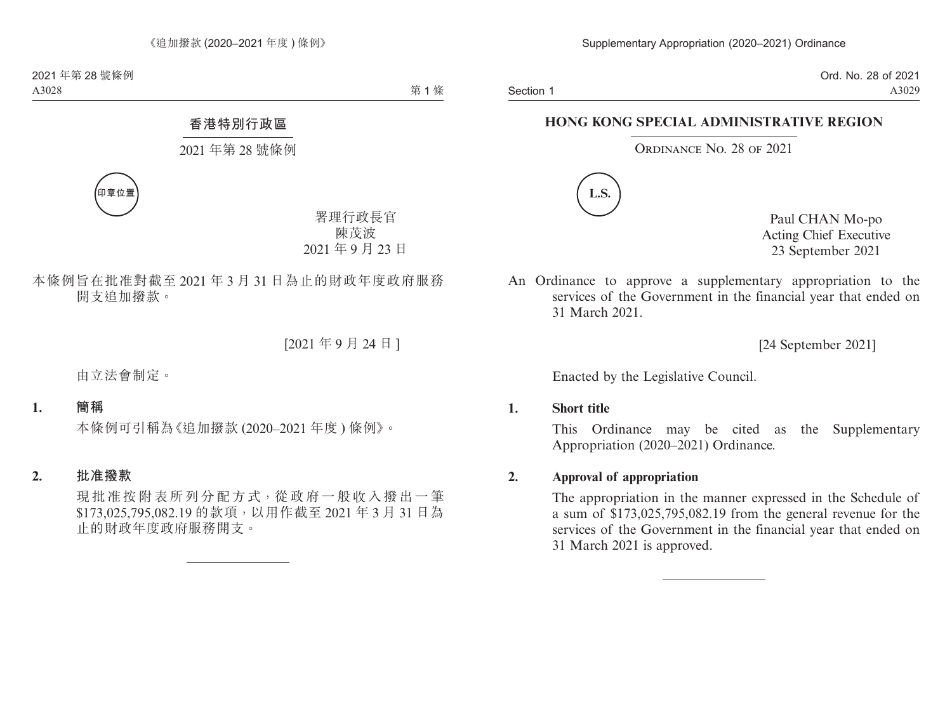Section 1

Ord. No. 28 of 2021 A3029

## **HONG KONG SPECIAL ADMINISTRATIVE REGION**

Ordinance No. 28 of 2021



Paul CHAN Mo-po Acting Chief Executive 23 September 2021

An Ordinance to approve a supplementary appropriation to the services of the Government in the financial year that ended on 31 March 2021.

[24 September 2021]

Enacted by the Legislative Council.

## **1. Short title**

This Ordinance may be cited as the Supplementary Appropriation (2020–2021) Ordinance.

## **2. Approval of appropriation**

The appropriation in the manner expressed in the Schedule of a sum of \$173,025,795,082.19 from the general revenue for the services of the Government in the financial year that ended on 31 March 2021 is approved.